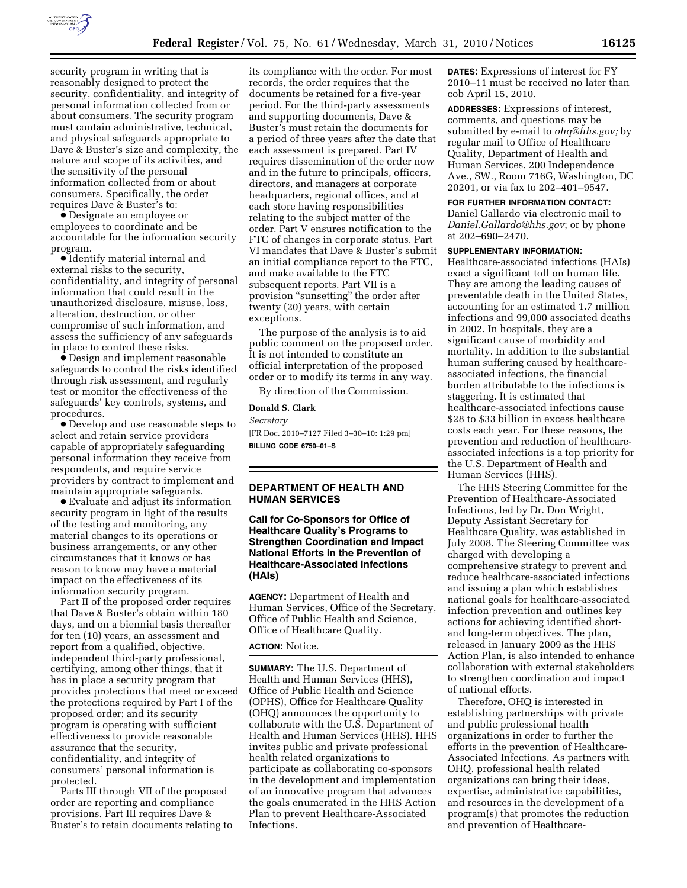

security program in writing that is reasonably designed to protect the security, confidentiality, and integrity of personal information collected from or about consumers. The security program must contain administrative, technical, and physical safeguards appropriate to Dave & Buster's size and complexity, the nature and scope of its activities, and the sensitivity of the personal information collected from or about consumers. Specifically, the order requires Dave & Buster's to:

∑ Designate an employee or employees to coordinate and be accountable for the information security program.

∑ Identify material internal and external risks to the security, confidentiality, and integrity of personal information that could result in the unauthorized disclosure, misuse, loss, alteration, destruction, or other compromise of such information, and assess the sufficiency of any safeguards in place to control these risks.

∑ Design and implement reasonable safeguards to control the risks identified through risk assessment, and regularly test or monitor the effectiveness of the safeguards' key controls, systems, and procedures.

∑ Develop and use reasonable steps to select and retain service providers capable of appropriately safeguarding personal information they receive from respondents, and require service providers by contract to implement and maintain appropriate safeguards.

∑ Evaluate and adjust its information security program in light of the results of the testing and monitoring, any material changes to its operations or business arrangements, or any other circumstances that it knows or has reason to know may have a material impact on the effectiveness of its information security program.

Part II of the proposed order requires that Dave & Buster's obtain within 180 days, and on a biennial basis thereafter for ten (10) years, an assessment and report from a qualified, objective, independent third-party professional, certifying, among other things, that it has in place a security program that provides protections that meet or exceed the protections required by Part I of the proposed order; and its security program is operating with sufficient effectiveness to provide reasonable assurance that the security, confidentiality, and integrity of consumers' personal information is protected.

Parts III through VII of the proposed order are reporting and compliance provisions. Part III requires Dave & Buster's to retain documents relating to

its compliance with the order. For most records, the order requires that the documents be retained for a five-year period. For the third-party assessments and supporting documents, Dave & Buster's must retain the documents for a period of three years after the date that each assessment is prepared. Part IV requires dissemination of the order now and in the future to principals, officers, directors, and managers at corporate headquarters, regional offices, and at each store having responsibilities relating to the subject matter of the order. Part V ensures notification to the FTC of changes in corporate status. Part VI mandates that Dave & Buster's submit an initial compliance report to the FTC, and make available to the FTC subsequent reports. Part VII is a provision "sunsetting" the order after twenty (20) years, with certain exceptions.

The purpose of the analysis is to aid public comment on the proposed order. It is not intended to constitute an official interpretation of the proposed order or to modify its terms in any way.

By direction of the Commission.

## **Donald S. Clark**

*Secretary* 

[FR Doc. 2010–7127 Filed 3–30–10: 1:29 pm] **BILLING CODE 6750–01–S** 

# **DEPARTMENT OF HEALTH AND HUMAN SERVICES**

# **Call for Co-Sponsors for Office of Healthcare Quality's Programs to Strengthen Coordination and Impact National Efforts in the Prevention of Healthcare-Associated Infections (HAIs)**

**AGENCY:** Department of Health and Human Services, Office of the Secretary, Office of Public Health and Science, Office of Healthcare Quality.

#### **ACTION:** Notice.

**SUMMARY:** The U.S. Department of Health and Human Services (HHS), Office of Public Health and Science (OPHS), Office for Healthcare Quality (OHQ) announces the opportunity to collaborate with the U.S. Department of Health and Human Services (HHS). HHS invites public and private professional health related organizations to participate as collaborating co-sponsors in the development and implementation of an innovative program that advances the goals enumerated in the HHS Action Plan to prevent Healthcare-Associated Infections.

**DATES:** Expressions of interest for FY 2010–11 must be received no later than cob April 15, 2010.

**ADDRESSES:** Expressions of interest, comments, and questions may be submitted by e-mail to *ohq@hhs.gov;* by regular mail to Office of Healthcare Quality, Department of Health and Human Services, 200 Independence Ave., SW., Room 716G, Washington, DC 20201, or via fax to 202–401–9547.

#### **FOR FURTHER INFORMATION CONTACT:**

Daniel Gallardo via electronic mail to *Daniel.Gallardo@hhs.gov*; or by phone at 202–690–2470.

#### **SUPPLEMENTARY INFORMATION:**

Healthcare-associated infections (HAIs) exact a significant toll on human life. They are among the leading causes of preventable death in the United States, accounting for an estimated 1.7 million infections and 99,000 associated deaths in 2002. In hospitals, they are a significant cause of morbidity and mortality. In addition to the substantial human suffering caused by healthcareassociated infections, the financial burden attributable to the infections is staggering. It is estimated that healthcare-associated infections cause \$28 to \$33 billion in excess healthcare costs each year. For these reasons, the prevention and reduction of healthcareassociated infections is a top priority for the U.S. Department of Health and Human Services (HHS).

The HHS Steering Committee for the Prevention of Healthcare-Associated Infections, led by Dr. Don Wright, Deputy Assistant Secretary for Healthcare Quality, was established in July 2008. The Steering Committee was charged with developing a comprehensive strategy to prevent and reduce healthcare-associated infections and issuing a plan which establishes national goals for healthcare-associated infection prevention and outlines key actions for achieving identified shortand long-term objectives. The plan, released in January 2009 as the HHS Action Plan, is also intended to enhance collaboration with external stakeholders to strengthen coordination and impact of national efforts.

Therefore, OHQ is interested in establishing partnerships with private and public professional health organizations in order to further the efforts in the prevention of Healthcare-Associated Infections. As partners with OHQ, professional health related organizations can bring their ideas, expertise, administrative capabilities, and resources in the development of a program(s) that promotes the reduction and prevention of Healthcare